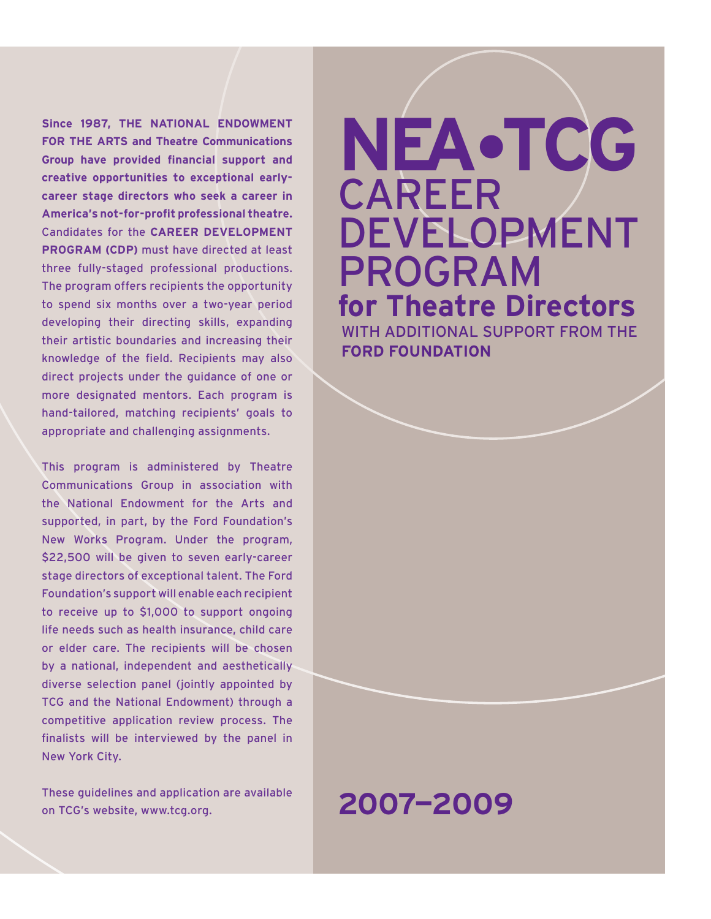**Since 1987, The National Endowment for the Arts and Theatre Communications Group have provided financial support and creative opportunities to exceptional earlycareer stage directors who seek a career in America's not-for-profit professional theatre.**  Candidates for the **Career Development Program (CDP)** must have directed at least three fully-staged professional productions. The program offers recipients the opportunity to spend six months over a two-year period developing their directing skills, expanding their artistic boundaries and increasing their knowledge of the field. Recipients may also direct projects under the guidance of one or more designated mentors. Each program is hand-tailored, matching recipients' goals to appropriate and challenging assignments.

This program is administered by Theatre Communications Group in association with the National Endowment for the Arts and supported, in part, by the Ford Foundation's New Works Program. Under the program, \$22,500 will be given to seven early-career stage directors of exceptional talent. The Ford Foundation's support will enable each recipient to receive up to \$1,000 to support ongoing life needs such as health insurance, child care or elder care. The recipients will be chosen by a national, independent and aesthetically diverse selection panel (jointly appointed by TCG and the National Endowment) through a competitive application review process. The finalists will be interviewed by the panel in New York City.

These guidelines and application are available on TCG's website, www.tcg.org.

# **NEA•TCG CAREER** development program **for Theatre Directors** with additional support from the

**ford foundation**

## **2007—2009**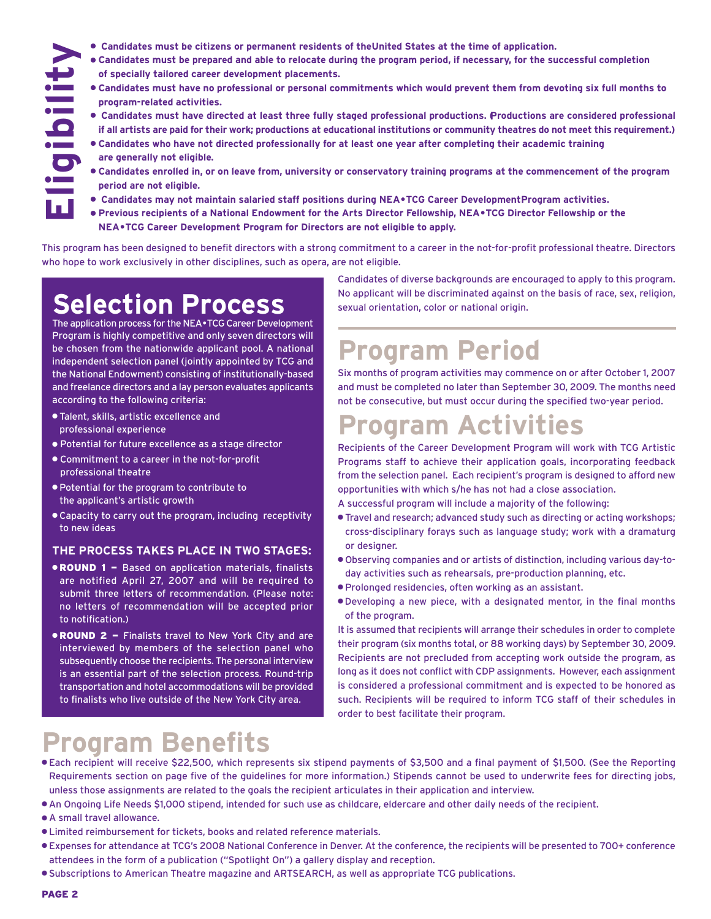- **Candidates must be citizens or permanent residents of the United States at the time of application.**
- l **Candidates must be prepared and able to relocate during the program period, if necessary, for the successful completion of specially tailored career development placements.**
- l **Candidates must have no professional or personal commitments which would prevent them from devoting six full months to program-related activities.**
- l **Candidates must have directed at least three fully staged professional productions. (Productions are considered professional if all artists are paid for their work; productions at educational institutions or community theatres do not meet this requirement.)**
- l **Candidates who have not directed professionally for at least one year after completing their academic training are generally not eligible.**
- l **Candidates enrolled in, or on leave from, university or conservatory training programs at the commencement of the program period are not eligible.**
- l **Candidates may not maintain salaried staff positions during NEA•TCG Career Development Program activities.**
- l **Previous recipients of a National Endowment for the Arts Director Fellowship, NEA•TCG Director Fellowship or the NEA•TCG Career Development Program for Directors are not eligible to apply.**

This program has been designed to benefit directors with a strong commitment to a career in the not-for-profit professional theatre. Directors who hope to work exclusively in other disciplines, such as opera, are not eligible.

## **Selection Process**

The application process for the NEA•TCG Career Development Program is highly competitive and only seven directors will be chosen from the nationwide applicant pool. A national independent selection panel (jointly appointed by TCG and the National Endowment) consisting of institutionally-based and freelance directors and a lay person evaluates applicants according to the following criteria:

**• Talent, skills, artistic excellence and** professional experience

**Eligibility**

- l Potential for future excellence as a stage director
- l Commitment to a career in the not-for-profit professional theatre
- l Potential for the program to contribute to the applicant's artistic growth
- **Capacity to carry out the program, including receptivity** to new ideas

#### **The process takes place in two stages:**

- **. ROUND 1 Based on application materials, finalists** are notified April 27, 2007 and will be required to submit three letters of recommendation. (Please note: no letters of recommendation will be accepted prior to notification.)
- **. ROUND 2 Finalists travel to New York City and are** interviewed by members of the selection panel who subsequently choose the recipients. The personal interview is an essential part of the selection process. Round-trip transportation and hotel accommodations will be provided to finalists who live outside of the New York City area.

Candidates of diverse backgrounds are encouraged to apply to this program. No applicant will be discriminated against on the basis of race, sex, religion, sexual orientation, color or national origin.

## **Program Period**

Six months of program activities may commence on or after October 1, 2007 and must be completed no later than September 30, 2009. The months need not be consecutive, but must occur during the specified two-year period.

## **Program Activities**

Recipients of the Career Development Program will work with TCG Artistic Programs staff to achieve their application goals, incorporating feedback from the selection panel. Each recipient's program is designed to afford new opportunities with which s/he has not had a close association.

A successful program will include a majority of the following:

- **.** Travel and research; advanced study such as directing or acting workshops; cross-disciplinary forays such as language study; work with a dramaturg or designer.
- l Observing companies and or artists of distinction, including various day-today activities such as rehearsals, pre-production planning, etc.
- l Prolonged residencies, often working as an assistant.
- l Developing a new piece, with a designated mentor, in the final months of the program.

It is assumed that recipients will arrange their schedules in order to complete their program (six months total, or 88 working days) by September 30, 2009. Recipients are not precluded from accepting work outside the program, as long as it does not conflict with CDP assignments. However, each assignment is considered a professional commitment and is expected to be honored as such. Recipients will be required to inform TCG staff of their schedules in order to best facilitate their program.

## **Program Benefits**

- l Each recipient will receive \$22,500, which represents six stipend payments of \$3,500 and a final payment of \$1,500. (See the Reporting Requirements section on page five of the guidelines for more information.) Stipends cannot be used to underwrite fees for directing jobs, unless those assignments are related to the goals the recipient articulates in their application and interview.
- l An Ongoing Life Needs \$1,000 stipend, intended for such use as childcare, eldercare and other daily needs of the recipient.
- $\bullet$  A small travel allowance.
- **Limited reimbursement for tickets, books and related reference materials.**
- l Expenses for attendance at TCG's 2008 National Conference in Denver. At the conference, the recipients will be presented to 700+ conference attendees in the form of a publication ("Spotlight On") a gallery display and reception.
- l Subscriptions to American Theatre magazine and ARTSEARCH, as well as appropriate TCG publications.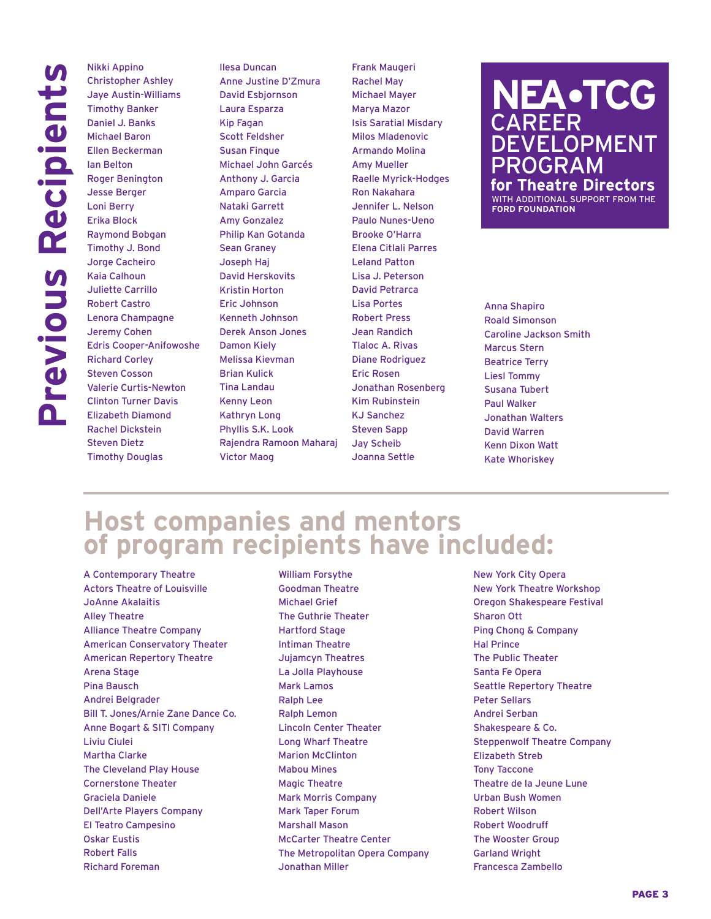Nikki Appino Christopher Ashley Jaye Austin-Williams Timothy Banker Daniel J. Banks Michael Baron Ellen Beckerman Ian Belton Roger Benington Jesse Berger Loni Berry Erika Block Raymond Bobgan Timothy J. Bond Jorge Cacheiro Kaia Calhoun Juliette Carrillo Robert Castro Lenora Champagne Jeremy Cohen Edris Cooper-Anifowoshe Richard Corley Steven Cosson Valerie Curtis-Newton Clinton Turner Davis Elizabeth Diamond Rachel Dickstein Steven Dietz Timothy Douglas

Ilesa Duncan Anne Justine D'Zmura David Esbjornson Laura Esparza Kip Fagan Scott Feldsher Susan Finque Michael John Garcés Anthony J. Garcia Amparo Garcia Nataki Garrett Amy Gonzalez Philip Kan Gotanda Sean Graney Joseph Haj David Herskovits Kristin Horton Eric Johnson Kenneth Johnson Derek Anson Jones Damon Kiely Melissa Kievman Brian Kulick Tina Landau Kenny Leon Kathryn Long Phyllis S.K. Look Rajendra Ramoon Maharaj Victor Maog

Frank Maugeri Rachel May Michael Mayer Marya Mazor Isis Saratial Misdary Milos Mladenovic Armando Molina Amy Mueller Raelle Myrick-Hodges Ron Nakahara Jennifer L. Nelson Paulo Nunes-Ueno Brooke O'Harra Elena Citlali Parres Leland Patton Lisa J. Peterson David Petrarca Lisa Portes Robert Press Jean Randich Tlaloc A. Rivas Diane Rodriguez Eric Rosen Jonathan Rosenberg Kim Rubinstein KJ Sanchez Steven Sapp Jay Scheib Joanna Settle

### **NEA•TCG CAREER DEVELOPMENT** program **for Theatre Directors**

with additional support from the **ford foundation**

Anna Shapiro Roald Simonson Caroline Jackson Smith Marcus Stern Beatrice Terry Liesl Tommy Susana Tubert Paul Walker Jonathan Walters David Warren Kenn Dixon Watt Kate Whoriskey

## **Host companies and mentors of program recipients have included:**

A Contemporary Theatre Actors Theatre of Louisville JoAnne Akalaitis Alley Theatre Alliance Theatre Company American Conservatory Theater American Repertory Theatre Arena Stage Pina Bausch Andrei Belgrader Bill T. Jones/Arnie Zane Dance Co. Anne Bogart & SITI Company Liviu Ciulei Martha Clarke The Cleveland Play House Cornerstone Theater Graciela Daniele Dell'Arte Players Company El Teatro Campesino Oskar Eustis Robert Falls Richard Foreman

William Forsythe Goodman Theatre Michael Grief The Guthrie Theater Hartford Stage Intiman Theatre Jujamcyn Theatres La Jolla Playhouse Mark Lamos Ralph Lee Ralph Lemon Lincoln Center Theater Long Wharf Theatre Marion McClinton Mabou Mines Magic Theatre Mark Morris Company Mark Taper Forum Marshall Mason McCarter Theatre Center The Metropolitan Opera Company Jonathan Miller

New York City Opera New York Theatre Workshop Oregon Shakespeare Festival Sharon Ott Ping Chong & Company Hal Prince The Public Theater Santa Fe Opera Seattle Repertory Theatre Peter Sellars Andrei Serban Shakespeare & Co. Steppenwolf Theatre Company Elizabeth Streb Tony Taccone Theatre de la Jeune Lune Urban Bush Women Robert Wilson Robert Woodruff The Wooster Group Garland Wright Francesca Zambello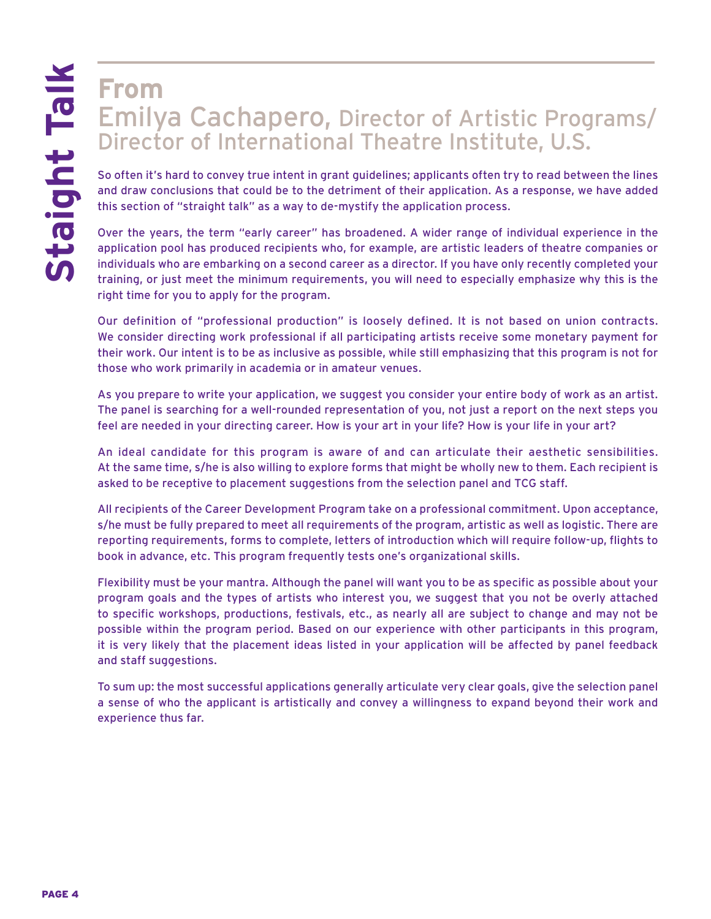## **From** Emilya Cachapero, Director of Artistic Programs/ Director of International Theatre Institute, U.S.

So often it's hard to convey true intent in grant guidelines; applicants often try to read between the lines and draw conclusions that could be to the detriment of their application. As a response, we have added this section of "straight talk" as a way to de-mystify the application process.

Over the years, the term "early career" has broadened. A wider range of individual experience in the application pool has produced recipients who, for example, are artistic leaders of theatre companies or individuals who are embarking on a second career as a director. If you have only recently completed your training, or just meet the minimum requirements, you will need to especially emphasize why this is the right time for you to apply for the program.

Our definition of "professional production" is loosely defined. It is not based on union contracts. We consider directing work professional if all participating artists receive some monetary payment for their work. Our intent is to be as inclusive as possible, while still emphasizing that this program is not for those who work primarily in academia or in amateur venues.

As you prepare to write your application, we suggest you consider your entire body of work as an artist. The panel is searching for a well-rounded representation of you, not just a report on the next steps you feel are needed in your directing career. How is your art in your life? How is your life in your art?

An ideal candidate for this program is aware of and can articulate their aesthetic sensibilities. At the same time, s/he is also willing to explore forms that might be wholly new to them. Each recipient is asked to be receptive to placement suggestions from the selection panel and TCG staff.

All recipients of the Career Development Program take on a professional commitment. Upon acceptance, s/he must be fully prepared to meet all requirements of the program, artistic as well as logistic. There are reporting requirements, forms to complete, letters of introduction which will require follow-up, flights to book in advance, etc. This program frequently tests one's organizational skills.

Flexibility must be your mantra. Although the panel will want you to be as specific as possible about your program goals and the types of artists who interest you, we suggest that you not be overly attached to specific workshops, productions, festivals, etc., as nearly all are subject to change and may not be possible within the program period. Based on our experience with other participants in this program, it is very likely that the placement ideas listed in your application will be affected by panel feedback and staff suggestions.

To sum up: the most successful applications generally articulate very clear goals, give the selection panel a sense of who the applicant is artistically and convey a willingness to expand beyond their work and experience thus far.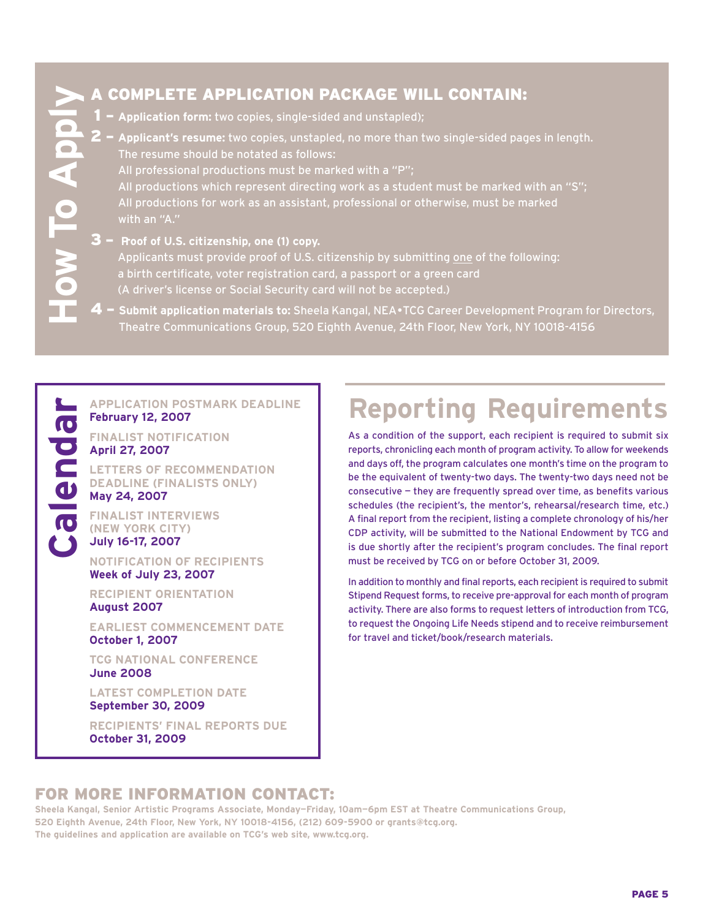**Calendar**

#### A complete application package will contain:

- 1 **Application form:** two copies, single-sided and unstapled);
- 2 **Applicant's resume:** two copies, unstapled, no more than two single-sided pages in length. The resume should be notated as follows: All professional productions must be marked with a "P"; All productions which represent directing work as a student must be marked with an "S"; All productions for work as an assistant, professional or otherwise, must be marked with an "A." 1 – Application form: two copies, single-sided and unstapled);<br>
2 – Applicant's resume: two copies, unstapled, no more than two single-sided pages in length.<br>
The resume should be notated as follows:<br>
All professional prod
	- 3 **Proof of U.S. citizenship, one (1) copy.** Applicants must provide proof of U.S. citizenship by submitting one of the following: a birth certificate, voter registration card, a passport or a green card (A driver's license or Social Security card will not be accepted.)
	- Theatre Communications Group, 520 Eighth Avenue, 24th Floor, New York, NY 10018-4156

# **Application postmark deadline** calendar **February 12, 2007**

**Finalist notification April 27, 2007**

**Letters of recommendation deadline (finalists only)**

**May 24, 2007**

**Finalist interviews (New York City) July 16-17, 2007**

**Notification of recipients Week of July 23, 2007**

**Recipient orientation August 2007**

**Earliest commencement date October 1, 2007**

**TCG National Conference June 2008**

**Latest completion date September 30, 2009**

**Recipients' final reports due October 31, 2009**

# **Reporting Requirements**

As a condition of the support, each recipient is required to submit six reports, chronicling each month of program activity. To allow for weekends and days off, the program calculates one month's time on the program to be the equivalent of twenty-two days. The twenty-two days need not be consecutive — they are frequently spread over time, as benefits various schedules (the recipient's, the mentor's, rehearsal/research time, etc.) A final report from the recipient, listing a complete chronology of his/her CDP activity, will be submitted to the National Endowment by TCG and is due shortly after the recipient's program concludes. The final report must be received by TCG on or before October 31, 2009.

In addition to monthly and final reports, each recipient is required to submit Stipend Request forms, to receive pre-approval for each month of program activity. There are also forms to request letters of introduction from TCG, to request the Ongoing Life Needs stipend and to receive reimbursement for travel and ticket/book/research materials.

#### For more information Contact:

**Sheela Kangal, Senior Artistic Programs Associate, Monday—Friday, 10am—6pm EST at Theatre Communications Group, 520 Eighth Avenue, 24th Floor, New York, NY 10018-4156, (212) 609-5900 or grants@tcg.org. The guidelines and application are available on TCG's web site, www.tcg.org.**